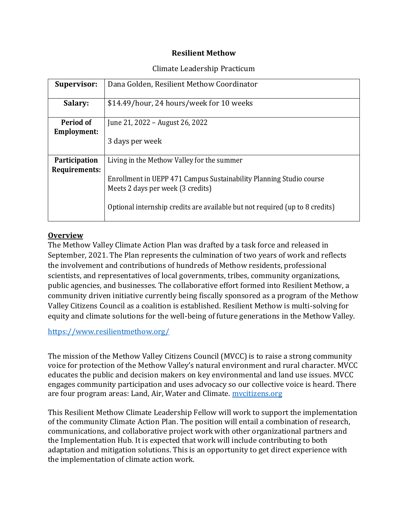### **Resilient Methow**

### Climate Leadership Practicum

| <b>Supervisor:</b>              | Dana Golden, Resilient Methow Coordinator                                                                |
|---------------------------------|----------------------------------------------------------------------------------------------------------|
| Salary:                         | \$14.49/hour, 24 hours/week for 10 weeks                                                                 |
| Period of<br><b>Employment:</b> | June 21, 2022 – August 26, 2022                                                                          |
|                                 | 3 days per week                                                                                          |
| <b>Participation</b>            | Living in the Methow Valley for the summer                                                               |
| Requirements:                   | Enrollment in UEPP 471 Campus Sustainability Planning Studio course<br>Meets 2 days per week (3 credits) |
|                                 | Optional internship credits are available but not required (up to 8 credits)                             |

### **Overview**

The Methow Valley Climate Action Plan was drafted by a task force and released in September, 2021. The Plan represents the culmination of two years of work and reflects the involvement and contributions of hundreds of Methow residents, professional scientists, and representatives of local governments, tribes, community organizations, public agencies, and businesses. The collaborative effort formed into Resilient Methow, a community driven initiative currently being fiscally sponsored as a program of the Methow Valley Citizens Council as a coalition is established. Resilient Methow is multi-solving for equity and climate solutions for the well-being of future generations in the Methow Valley.

#### <https://www.resilientmethow.org/>

The mission of the Methow Valley Citizens Council (MVCC) is to raise a strong community voice for protection of the Methow Valley's natural environment and rural character. MVCC educates the public and decision makers on key environmental and land use issues. MVCC engages community participation and uses advocacy so our collective voice is heard. There are four program areas: Land, Air, Water and Climate. mycitizens.org

This Resilient Methow Climate Leadership Fellow will work to support the implementation of the community Climate Action Plan. The position will entail a combination of research, communications, and collaborative project work with other organizational partners and the Implementation Hub. It is expected that work will include contributing to both adaptation and mitigation solutions. This is an opportunity to get direct experience with the implementation of climate action work.